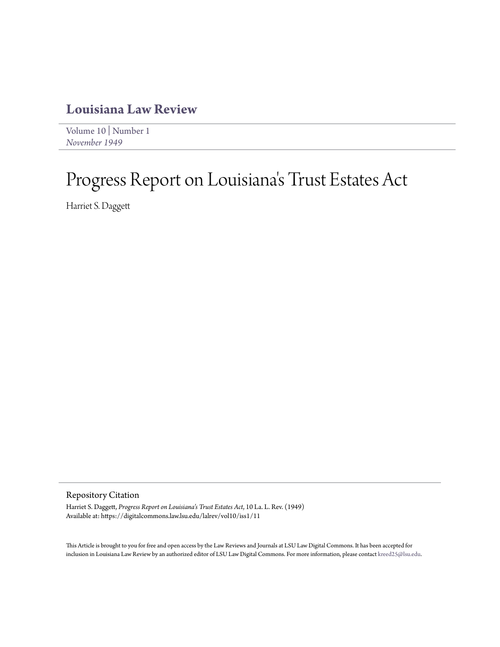## **[Louisiana Law Review](https://digitalcommons.law.lsu.edu/lalrev)**

[Volume 10](https://digitalcommons.law.lsu.edu/lalrev/vol10) | [Number 1](https://digitalcommons.law.lsu.edu/lalrev/vol10/iss1) *[November 1949](https://digitalcommons.law.lsu.edu/lalrev/vol10/iss1)*

## Progress Report on Louisiana 's Trust Estates Act

Harriet S. Daggett

Repository Citation

Harriet S. Daggett, *Progress Report on Louisiana's Trust Estates Act*, 10 La. L. Rev. (1949) Available at: https://digitalcommons.law.lsu.edu/lalrev/vol10/iss1/11

This Article is brought to you for free and open access by the Law Reviews and Journals at LSU Law Digital Commons. It has been accepted for inclusion in Louisiana Law Review by an authorized editor of LSU Law Digital Commons. For more information, please contact [kreed25@lsu.edu](mailto:kreed25@lsu.edu).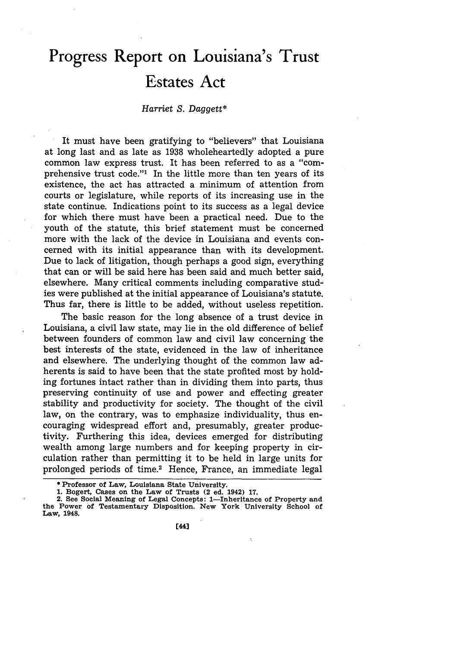## **Progress Report on Louisiana's Trust Estates Act**

## *Harriet S. Daggett\**

It must have been gratifying to "believers" that Louisiana at long last and as late as 1938 wholeheartedly adopted a pure common law express trust. It has been referred to as a "comprehensive trust code."' In the little more than ten years of its existence, the act has attracted a minimum of attention from courts or legislature, while reports of its increasing use in the state continue. Indications point to its success as a legal device for which there must have been a practical need. Due to the youth of the statute, this brief statement must be concerned more with the lack of the device in Louisiana and events concerned with its initial appearance than with its development. Due to lack of litigation, though perhaps a good sign, everything that can or will be said here has been said and much better said, elsewhere. Many critical comments including comparative studies were published at the initial appearance of Louisiana's statute. Thus far, there is little to be added, without useless repetition.

The basic reason for the long absence of a trust device in Louisiana, a civil law state, may lie in the old difference of belief between founders of common law and civil law concerning the best interests of the state, evidenced in the law of inheritance and elsewhere. The underlying thought of the common law adherents is said to have been that the state profited most by holding fortunes intact rather than in dividing them into parts, thus preserving continuity of use and power and effecting greater stability and productivity for society. The thought of the civil law, on the contrary, was to emphasize individuality, thus encouraging widespread effort and, presumably, greater productivity. Furthering this idea, devices emerged for distributing wealth among large numbers and for keeping property in circulation rather than permitting it to be held in large units for prolonged periods of time.2 Hence, France, an immediate legal

**<sup>\*</sup> Professor of Law, Louisiana State University.**

**<sup>1.</sup> Bogert, Cases on the Law of Trusts (2 ed. 1942) 17. 2. See Social Meaning of Legal Concepts: 1-Inheritance of Property and the Power of Testamentary Disposition. New York University School of Law, 1948.**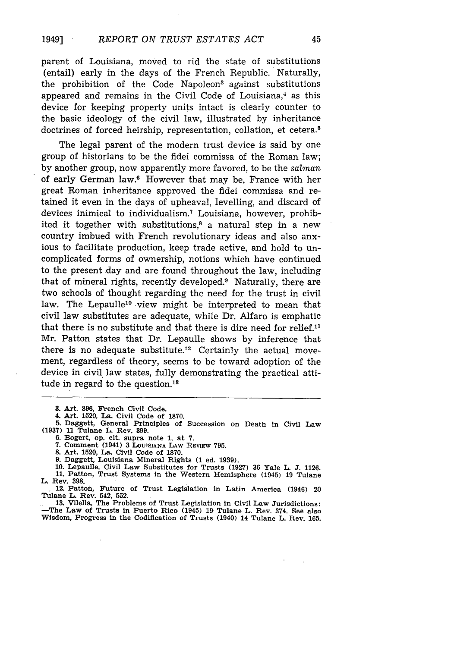parent of Louisiana, moved to rid the state of substitutions (entail) early in the days of the French Republic. Naturally, the prohibition of the Code Napoleon<sup>3</sup> against substitutions appeared and remains in the Civil Code of Louisiana, $4$  as this device for keeping property units intact is clearly counter to the basic ideology of the civil law, illustrated by inheritance doctrines of forced heirship, representation, collation, et cetera.<sup>5</sup>

The legal parent of the modern trust device is said by one group of historians to be the fidei commissa of the Roman law; by another group, now apparently more favored, to be the *salman* of early German law.6 However that may be, France with her great Roman inheritance approved the fidei commissa and retained it even in the days of upheaval, levelling, and discard of devices inimical to individualism.<sup>7</sup> Louisiana, however, prohibited it together with substitutions,<sup>8</sup> a natural step in a new country imbued with French revolutionary ideas and also anxious to facilitate production, keep trade active, and hold to uncomplicated forms of ownership, notions which have continued to the present day and are found throughout the law, including that of mineral rights, recently developed.9 Naturally, there are two schools of thought regarding the need for the trust in civil law. The Lepaulle<sup>10</sup> view might be interpreted to mean that civil law substitutes are adequate, while Dr. Alfaro is emphatic that there is no substitute and that there is dire need for relief. $11$ Mr. Patton states that Dr. Lepaulle shows by inference that there is no adequate substitute.<sup>12</sup> Certainly the actual movement, regardless of theory, seems to be toward adoption of the device in civil law states, fully demonstrating the practical attitude in regard to the question.<sup>13</sup>

**6. Bogert, op. cit. supra note 1, at 7.**

**7. Comment (1941) 3 LOUisINA LAW** REVIgw **795.**

**8. Art. 1520, La. Civil Code of 1870.**

**9. Daggett, Louisiana Mineral Rights (1 ed. 1939).**

**10. Lepaulle, Civil Law Substitutes for Trusts (1927) 36 Yale L. J. 1126. 11. Patton, Trust Systems in the Western Hemisphere (1945) 19 Tulane L. Rev. 398.**

**1 12. Patton, Future of Trust Legislation in Latin America (1946) 20 Tulane L. Rev. 542, 552.**

**13. Vilella, The Problems of Trust Legislation in Civil Law Jurisdictions: -The Law of Trusts in Puerto Rico (1945) 19 Tulane L. Rev. 374. See also Wisdom, Progress in the Codification of Trusts (1940) 14 Tulane L. Rev. 165.**

**<sup>3.</sup> Art. 896, French Civil Code.**

**<sup>4.</sup> Art. 1520, La. Civil Code of 1870.**

**<sup>5.</sup> Daggett, General Principles of Succession on Death in Civil Law (1937) 11 Tulane L. Rev. 399.**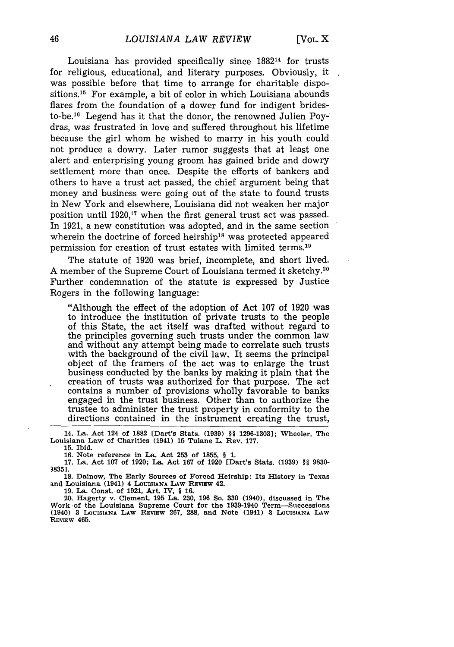Louisiana has provided specifically since 188214 for trusts for religious, educational, and literary purposes. Obviously, it was possible before that time to arrange for charitable dispositions.<sup>15</sup> For example, a bit of color in which Louisiana abounds flares from the foundation of a dower fund for indigent bridesto-be.'6 Legend has it that the donor, the renowned Julien Poydras, was frustrated in love and suffered throughout his lifetime because the girl whom he wished to marry in his youth could not produce a dowry. Later rumor suggests that at least one alert and enterprising young groom has gained bride and dowry settlement more than once. Despite the efforts of bankers and others to have a trust act passed, the chief argument being that money and business were going out of the state to found trusts in New York and elsewhere, Louisiana did not weaken her major position until 1920,17 when the first general trust act was passed. In 1921, a new constitution was adopted, and in the same section wherein the doctrine of forced heirship<sup>18</sup> was protected appeared permission for creation of trust estates with limited terms. <sup>19</sup>

The statute of 1920 was brief, incomplete, and short lived. A member of the Supreme Court of Louisiana termed it sketchy.<sup>20</sup> Further condemnation of the statute is expressed by Justice Rogers in the following language:

"Although the effect of the adoption of Act 107 of 1920 was to introduce the institution of private trusts to the people of this State, the act itself was drafted without regard to the principles governing such trusts under the common law and without any attempt being made to correlate such trusts with the background of the civil law. It seems the principal object of the framers of the act was to enlarge the trust business conducted by the banks by making it plain that the creation of trusts was authorized for that purpose. The act contains a number of provisions wholly favorable to banks engaged in the trust business. Other than to authorize the trustee to administer the trust property in conformity to the directions contained in the instrument creating the trust,

**14. La. Act 124 of 1882 [Dart's Stats. (1939) §§ 1296-1303]; Wheeler, The** Louisiana **Law** of Charities (1941) **15** Tulane L. Rev. **177.**

**15.** Ibid.

**16.** Note reference in **La. Act 253** of **1855, § 1.**

**17. La. Act 107** of **1920; La. Act 167** of **1920** [Dart's Stats. **(1939)** §§ **9830- )835].**

**18.** Dainow, The **Early** Sources of Forced Heirship: **Its** History in **Texas and** Louisiana (1941) **4 LOUISIANA LAW REVIEW 42. 19.** La. Const. **of 1921, Art.** IV, **§ 16.**

20. Hagerty v. Clement, **195 La. 230, 196 So. 330** (1940), discussed in **The** Work -of the Louisiana Supreme Court for the 1939-1940 Term-Successions **(1940) 3 LOUISIANA LAW RVIEW 267, 288, and Note (1941) 3** LOUISIANA **LAW REviEW 465.**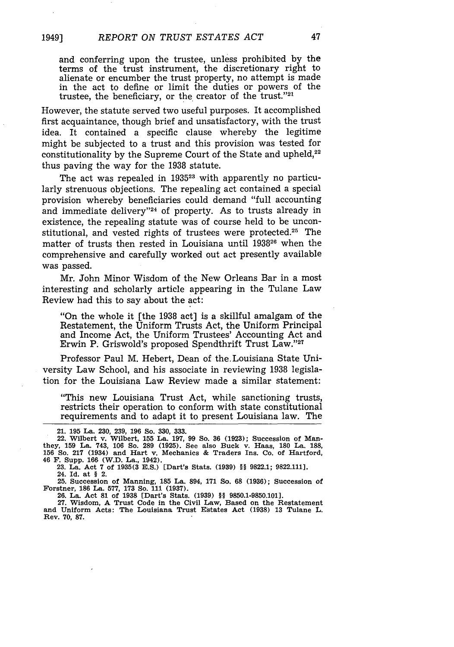and conferring upon the trustee, unless prohibited by the terms of the trust instrument, the discretionary right to alienate or encumber the trust property, no attempt is made in the act to define or limit the duties or powers of the trustee, the beneficiary, or the creator of the trust."21

However, the statute served two useful purposes. It accomplished first acquaintance, though brief and unsatisfactory, with the trust idea. It contained a specific clause whereby the legitime might be subjected to a trust and this provision was tested for constitutionality by the Supreme Court of the State and upheld,<sup>22</sup> thus paving the way for the 1938 statute.

The act was repealed in **193523** with apparently no particularly strenuous objections. The repealing act contained a special provision whereby beneficiaries could demand "full accounting and immediate delivery"24 of property. As to trusts already in existence, the repealing statute was of course held to be unconstitutional, and vested rights of trustees were protected.<sup>25</sup> The matter of trusts then rested in Louisiana until **193826** when the comprehensive and carefully worked out act presently available was passed.

Mr. John Minor Wisdom of the New Orleans Bar in a most interesting and scholarly article appearing in the Tulane Law Review had this to say about the act:

"On the whole it [the 1938 act] is a skillful amalgam of the Restatement, the Uniform Trusts Act, the Uniform Principal and Income Act, the Uniform Trustees' Accounting Act and Erwin P. Griswold's proposed Spendthrift Trust Law. '27

Professor Paul M. Hebert, Dean of the.Louisiana State University Law School, and his associate in reviewing 1938 legislation for the Louisiana Law Review made a similar statement:

"This new Louisiana Trust Act, while sanctioning trusts, restricts their operation to conform with state constitutional requirements and to adapt it to present Louisiana law. The

**24.** Id. at **§ 2.**

**25.** Succession of **Manning, 185 La.** 894, **171 So. 68 (1936);** Succession **of** Forstner, **186 La. 577, 173 So. 111 (1937). 26. La.** Act **81** of **1938** [Dart's Stats. **(1939) §§ 9850.1-9850.101].**

**27.** Wisdom, **A** Trust Code **in** the Civil **Law,** Based on the Restatement **and** Uniform Acts: The **Louisiana** Trust **Estates** Act **(1938) 13** Tulane **L.** Rev. **70, 87.**

**<sup>21. 195</sup> La. 230, 239, 196 So. 330, 333.**

<sup>22.</sup> Wilbert v. Wilbert, **155 La. 197, 99** So. **36 (1923);** Succession of **Man-they, 159 La.** 743, **106 So. 289 (1925). See** also Buck v. Haas, **180 La. 188, 156 So. 217** (1934) **and Hart** v. Mechanics **&** Traders Ins. Co. of Hartford, 46 **F.** Supp. **166** (W.D. La., 1942). **23. La. Act 7** of **1935(3 E.S.)** [Dart's Stats. **(1939) H§ 9822.1; 9822.1111.**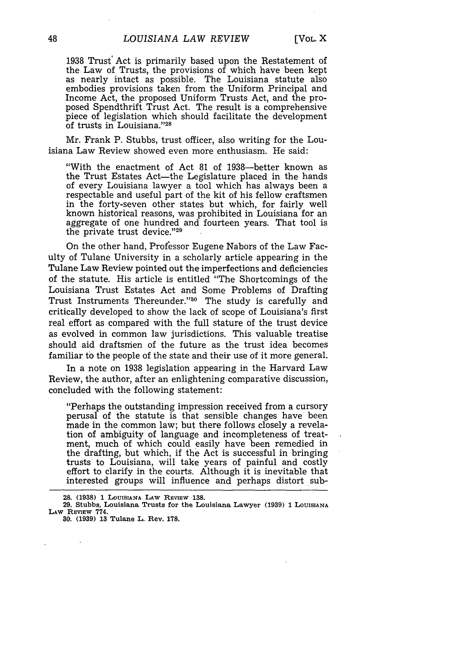1938 Trust' Act is primarily based upon the Restatement of the Law of Trusts, the provisions of which have been kept as nearly intact as possible. The Louisiana statute also embodies provisions taken from the Uniform Principal and Income Act, the proposed Uniform Trusts Act, and the proposed Spendthrift Trust Act. The result is a comprehensive piece of legislation which should facilitate the development of trusts in Louisiana."<sup>28</sup>

Mr. Frank P. Stubbs, trust officer, also writing for the Louisiana Law Review showed even more enthusiasm. He said:

"With the enactment of Act 81 of 1938-better known as the Trust Estates Act-the Legislature placed in the hands of every Louisiana lawyer a tool which has always been a respectable and useful part of the kit of his fellow craftsmen in the forty-seven other states but which, for fairly well known historical reasons, was prohibited in Louisiana for an aggregate of one hundred and fourteen years. That tool is the private trust device."29

On the other hand, Professor Eugene Nabors of the Law Faculty of Tulane University in a scholarly article appearing in the Tulane Law Review pointed out the imperfections and deficiencies of the statute. His article is entitled "The Shortcomings of the Louisiana Trust Estates Act and Some Problems of Drafting Trust Instruments Thereunder."<sup>30</sup> The study is carefully and critically developed to show the lack of scope of Louisiana's first real effort as compared with the full stature of the trust device as evolved in common law jurisdictions. This valuable treatise should aid draftsmen of the future as the trust idea becomes familiar to the people of the state and their use of it more general.

In a note on 1938 legislation appearing in the Harvard Law Review, the author, after an enlightening comparative discussion, concluded with the following statement:

"Perhaps the outstanding impression received from a cursory perusal of the statute is that sensible changes have been made in the common law; but there follows closely a revelation of ambiguity of language and incompleteness of treatment, much of which could easily have been remedied in the drafting, but which, if the Act is successful in bringing trusts to Louisiana, will take years of painful and costly effort to clarify in the courts. Although it is inevitable that interested groups will influence and perhaps distort sub-

**<sup>28. (1938) 1</sup> LOUISIANA LAW REVIEW 138.**

**<sup>29.</sup> Stubbs, Louisiana Trusts for the Louisiana Lawyer (1939) 1 LOUISIANA** LAW **REvIEw 774.**

**<sup>30. (1939) 13</sup> Tulane L. Rev. 178.**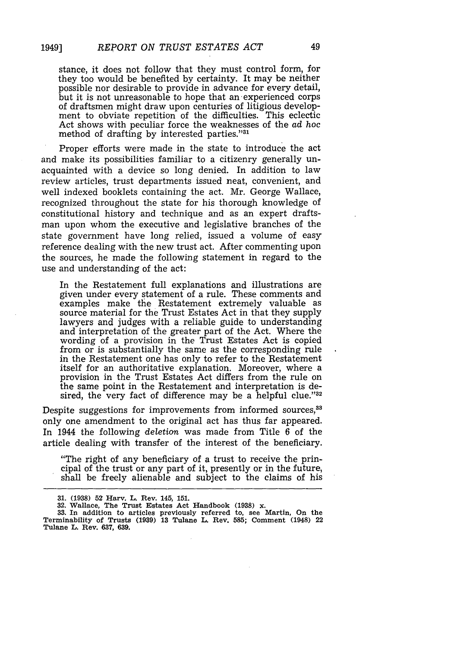stance, it does not follow that they must control form, for they too would be benefited by certainty. It may be neither possible nor desirable to provide in advance for every detail, but it is not unreasonable to hope that an experienced corps of draftsmen might draw upon centuries of litigious development to obviate repetition of the difficulties. This eclectic Act shows with peculiar force the weaknesses of the *ad* hoc method of drafting by interested parties."<sup>31</sup>

Proper efforts were made in the state to introduce the act and make its possibilities familiar to a citizenry generally unacquainted with a device so long denied. In addition to law review articles, trust departments issued neat, convenient, and well indexed booklets containing the act. Mr. George Wallace, recognized throughout the state for his thorough knowledge of constitutional history and technique and as an expert draftsman upon whom the executive and legislative branches of the state government have long relied, issued a volume of easy reference dealing with the new trust act. After commenting upon the sources, he made the following statement in regard to the use and understanding of the act:

In the Restatement full explanations and illustrations are given under every statement of a rule. These comments and examples make the Restatement extremely valuable as source material for the Trust Estates Act in that they supply lawyers and judges with a reliable guide to understanding and interpretation of the greater part of the Act. Where the wording of a provision in the Trust Estates Act is copied from or is substantially the same as the corresponding rule in the Restatement one has only to refer to the Restatement itself for an authoritative explanation. Moreover, where a provision in the Trust Estates Act differs from the rule on the same point in the Restatement and interpretation is desired, the very fact of difference may be a helpful clue." $32$ 

Despite suggestions for improvements from informed sources,<sup>33</sup> only one amendment to the original act has thus far appeared. In 1944 the following *deletion* was made from Title 6 of the article dealing with transfer of the interest of the beneficiary.

"The right of any beneficiary of a trust to receive the principal of the trust or any part of it, presently or in the future, shall be freely alienable and subject to the claims of his

**32. Wallace, The Trust Estates Act Handbook (1938) x. 33. In addition to articles previously referred to, see Martin, On the Terminability of Trusts (1939) 13 Tulane L. Rev. 585; Comment (1948) 22 Tulane L. Rev. 637, 639.**

**<sup>31. (1938) 52</sup> Harv. L. Rev. 145, 151.**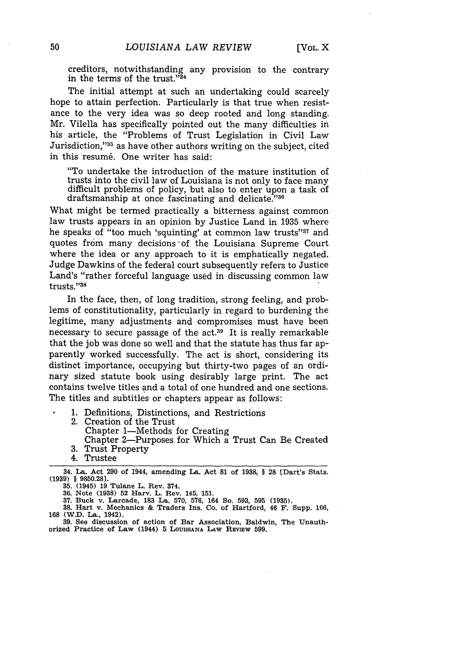creditors, notwithstanding any provision to the contrary in the terms of the trust." $34$ 

The initial attempt at such an undertaking could scarcely hope to attain perfection. Particularly is that true when resistance to the very idea was so deep rooted and long standing. Mr. Vilella has specifically pointed out the many difficulties in his article, the "Problems of Trust Legislation in Civil Law Jurisdiction,"35 as have other authors writing on the subject, cited in this resumé. One writer has said:

"To undertake the introduction of the mature institution of trusts into the civil law of Louisiana is not only to face many difficult problems of policy, but also to enter upon a task of draftsmanship at once fascinating and delicate."36

What might be termed practically a bitterness against common law trusts appears in an opinion by Justice Land in 1935 where he speaks of "too much 'squinting' at common law trusts"37 and quotes from many decisions 'of the Louisiana Supreme Court where the idea or any approach to it is emphatically negated. Judge Dawkins of the federal court subsequently refers to Justice Land's "rather forceful language used in discussing common law trusts."38

In the face, then, of long tradition, strong feeling, and problems of constitutionality, particularly in regard to burdening the legitime, many adjustments and compromises must have been necessary to secure passage of the act.39 It is really remarkable that the job was done so well and that the statute has thus far apparently worked successfully. The act is short, considering its distinct importance, occupying but thirty-two pages of an ordinary sized statute book using desirably large print. The act contains twelve titles and a total of one hundred and one sections. The titles and subtitles or chapters appear as follows:

1. Definitions, Distinctions, and Restrictions

- 2. Creation of the Trust
	- Chapter 1-Methods for Creating
- Chapter 2-Purposes for Which a Trust Can Be Created 3. Trust Property
- 
- 4. Trustee

**35.** (1945) **19** Tulane **L.** Rev. 374.

**36. Note (1938) 52** Harv. **L.** Rev. 145, **151.**

**37.** Buck v. **Larcade, 183 La. 570, 576,** 164 **So. 593, 595 (1935). 38. Hart** v. Mechanics **&** Traders Ins. Co. of Hartford, 46 F. Supp. **166,**

**168** (W.D. **La.,** 1942).

**39. See** discussion of action of **Bar** Association, Baldwin, The Unauthorized Practice of Law (1944) 5 LOUISIANA LAW REVIEW 599.

**<sup>34.</sup> La. Act 290** of **1944, amending La. Act 81 of 1938,** § 28 **[Dart's Stats. (1939)** § **9850.28].**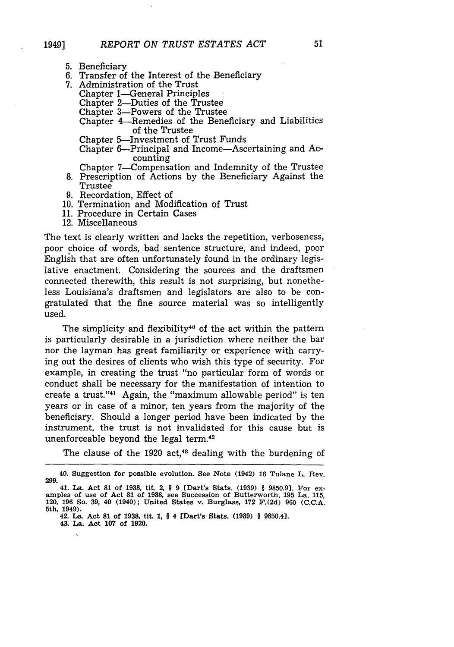- 5. Beneficiary
- 6. Transfer of the Interest of the Beneficiary
- 7. Administration of the Trust
	- Chapter 1-General Principles
	- Chapter 2-Duties of the Trustee
	- Chapter 3-Powers of the Trustee
	- Chapter 4-Remedies of the Beneficiary and Liabilities of the Trustee
	- Chapter 5-Investment of Trust Funds
	- Chapter 6-Principal and Income-Ascertaining and Accounting
	- Chapter 7-Compensation and Indemnity of the Trustee
- 8. Prescription of Actions by the Beneficiary Against the Trustee
- 9. Recordation, Effect of
- 10. Termination and Modification of Trust
- 11. Procedure in Certain Cases
- 12. Miscellaneous

The text is clearly written and lacks the repetition, verboseness, poor choice of words, bad sentence structure, and indeed, poor English that are often unfortunately found in the ordinary legislative enactment. Considering the sources and the draftsmen connected therewith, this result is not surprising, but nonetheless Louisiana's draftsmen and legislators are also to be congratulated that the fine source material was so intelligently used.

The simplicity and flexibility<sup>40</sup> of the act within the pattern is particularly desirable in a jurisdiction where neither the bar nor the layman has great familiarity or experience with carrying out the desires of clients who wish this type of security. For example, in creating the trust "no particular form of words or conduct shall be necessary for the manifestation of intention to create a trust."<sup>41</sup> Again, the "maximum allowable period" is ten years or in case of a minor, ten years from the majority of the beneficiary. Should a longer period have been indicated by the instrument, the trust is not invalidated for this cause but is unenforceable beyond the legal term.42

The clause of the 1920  $act<sub>,43</sub>$  dealing with the burdening of

**43. La. Act 107 of 1920.**

<sup>40.</sup> Suggestion for possible evolution. See Note (1942) **16** Tulane L. Rev. **299.**

<sup>41.</sup> La. Act **81** of **1938,** tit. **2, § 9** [Dart's Stats. **(1939) § 9850.9).** For ex- amples of use of Act **81** of **1938,** see Succession of Butterworth, **195** La. **115,** 120, **196** So. **39,** 40 (1940); United States v. Burglass, **172 F.(2d) 960 (C.C.A.** 5th, 1949).

**<sup>42.</sup> La. Act 81 of 1938, tit. 1,** § **4 [Dart's Stats. (1939)** § **9850.4].**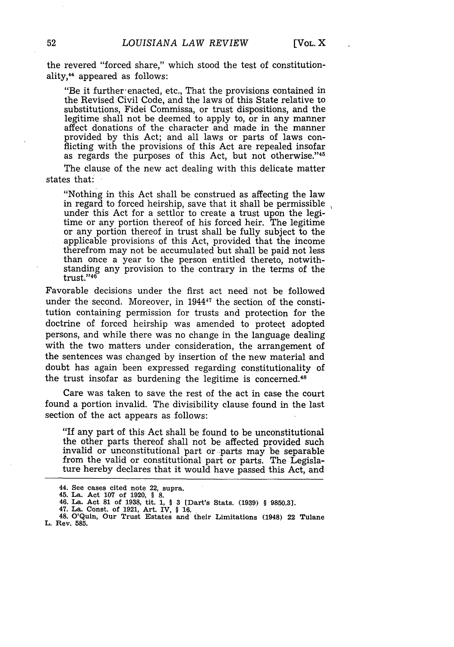the revered "forced share," which stood the test of constitutionality,<sup>44</sup> appeared as follows:

"Be it further-enacted, etc., That the provisions contained in the Revised Civil Code, and the laws of this State relative to substitutions, Fidei Commissa, or trust dispositions, and the legitime shall not be deemed to apply to, or in any manner affect donations of the character and made in the manner provided by this Act; and all laws or parts of laws conflicting with the provisions of this Act are repealed insofar as regards the purposes of this Act, but not otherwise."<sup>45</sup>

The clause of the new act dealing with this delicate matter states that:

"Nothing in this Act shall be construed as affecting the law in regard to forced heirship, save that it shall be permissible under this Act for a settlor to create a trust upon the legitime or any portion thereof of his forced heir. The legitime or any portion thereof in trust shall be fully subject to the applicable provisions of this Act, provided that the income therefrom may not be accumulated but shall be paid not less than once a year to the person entitled thereto, notwithstanding any provision to the contrary in the terms of the trust."<sup>46</sup>

Favorable decisions under the first act need not be followed under the second. Moreover, in 1944<sup>47</sup> the section of the constitution containing permission for trusts and protection for the doctrine of forced heirship was amended to protect adopted persons, and while there was no change in the language dealing with the two matters under consideration, the arrangement of the sentences was changed by insertion of the new material and doubt has again been expressed regarding constitutionality of the trust insofar as burdening the legitime is concerned. $48$ 

Care was taken to save the rest of the act in case the court found a portion invalid. The divisibility clause found in the last section of the act appears as follows:

"If any part of this Act shall be found to be unconstitutional the other parts thereof shall not be affected provided such invalid or unconstitutional part or -parts may be separable from the valid or constitutional part or parts. The Legislature hereby declares that it would have passed this Act, and

<sup>44.</sup> See cases cited note 22, supra. **45. La.** Act **107 of 1920, § 8.**

**<sup>46.</sup> La. Act 81 of 1938, tit. 1,** § **3 [Dart's Stats. (1939) § 9850.31.**

**<sup>47.</sup> La. Const. of 1921, Art.** IV, § **16. 48. O'Quin, Our Trust Estates and their Limitations (1948) 22 Tulane L. Rev. 585.**